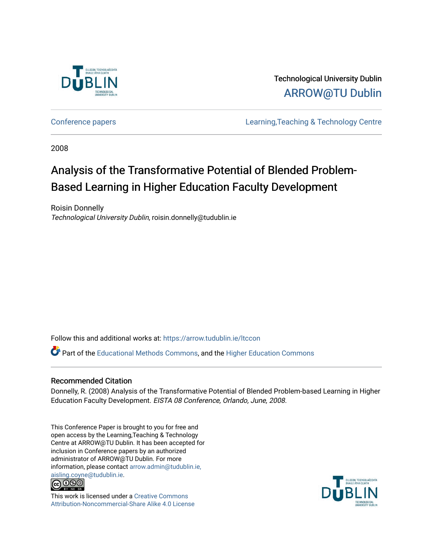

Technological University Dublin [ARROW@TU Dublin](https://arrow.tudublin.ie/) 

[Conference papers](https://arrow.tudublin.ie/ltccon) [Learning,Teaching & Technology Centre](https://arrow.tudublin.ie/ltc) 

2008

# Analysis of the Transformative Potential of Blended Problem-Based Learning in Higher Education Faculty Development

Roisin Donnelly Technological University Dublin, roisin.donnelly@tudublin.ie

Follow this and additional works at: [https://arrow.tudublin.ie/ltccon](https://arrow.tudublin.ie/ltccon?utm_source=arrow.tudublin.ie%2Fltccon%2F28&utm_medium=PDF&utm_campaign=PDFCoverPages)

Part of the [Educational Methods Commons,](http://network.bepress.com/hgg/discipline/1227?utm_source=arrow.tudublin.ie%2Fltccon%2F28&utm_medium=PDF&utm_campaign=PDFCoverPages) and the [Higher Education Commons](http://network.bepress.com/hgg/discipline/1245?utm_source=arrow.tudublin.ie%2Fltccon%2F28&utm_medium=PDF&utm_campaign=PDFCoverPages) 

# Recommended Citation

Donnelly, R. (2008) Analysis of the Transformative Potential of Blended Problem-based Learning in Higher Education Faculty Development. EISTA 08 Conference, Orlando, June, 2008.

This Conference Paper is brought to you for free and open access by the Learning,Teaching & Technology Centre at ARROW@TU Dublin. It has been accepted for inclusion in Conference papers by an authorized administrator of ARROW@TU Dublin. For more information, please contact [arrow.admin@tudublin.ie,](mailto:arrow.admin@tudublin.ie,%20aisling.coyne@tudublin.ie)  [aisling.coyne@tudublin.ie.](mailto:arrow.admin@tudublin.ie,%20aisling.coyne@tudublin.ie)<br>© 090



This work is licensed under a [Creative Commons](http://creativecommons.org/licenses/by-nc-sa/4.0/) [Attribution-Noncommercial-Share Alike 4.0 License](http://creativecommons.org/licenses/by-nc-sa/4.0/)

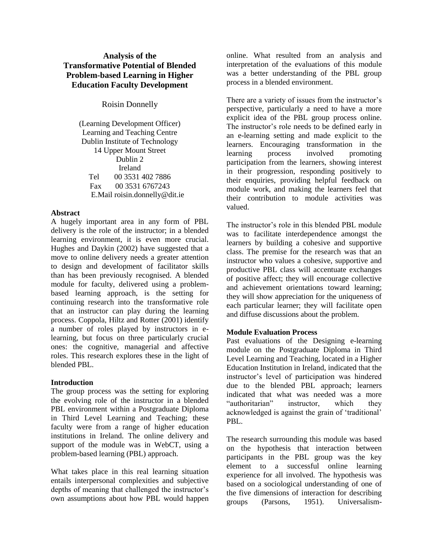# **Analysis of the Transformative Potential of Blended Problem-based Learning in Higher Education Faculty Development**

Roisin Donnelly

(Learning Development Officer) Learning and Teaching Centre Dublin Institute of Technology 14 Upper Mount Street Dublin 2 Ireland Tel 00 3531 402 7886 Fax 00 3531 6767243 E.Mail roisin.donnelly@dit.ie

# **Abstract**

A hugely important area in any form of PBL delivery is the role of the instructor; in a blended learning environment, it is even more crucial. Hughes and Daykin (2002) have suggested that a move to online delivery needs a greater attention to design and development of facilitator skills than has been previously recognised. A blended module for faculty, delivered using a problembased learning approach, is the setting for continuing research into the transformative role that an instructor can play during the learning process. Coppola, Hiltz and Rotter (2001) identify a number of roles played by instructors in elearning, but focus on three particularly crucial ones: the cognitive, managerial and affective roles. This research explores these in the light of blended PBL.

# **Introduction**

The group process was the setting for exploring the evolving role of the instructor in a blended PBL environment within a Postgraduate Diploma in Third Level Learning and Teaching; these faculty were from a range of higher education institutions in Ireland. The online delivery and support of the module was in WebCT, using a problem-based learning (PBL) approach.

What takes place in this real learning situation entails interpersonal complexities and subjective depths of meaning that challenged the instructor's own assumptions about how PBL would happen online. What resulted from an analysis and interpretation of the evaluations of this module was a better understanding of the PBL group process in a blended environment.

There are a variety of issues from the instructor's perspective, particularly a need to have a more explicit idea of the PBL group process online. The instructor's role needs to be defined early in an e-learning setting and made explicit to the learners. Encouraging transformation in the learning process involved promoting participation from the learners, showing interest in their progression, responding positively to their enquiries, providing helpful feedback on module work, and making the learners feel that their contribution to module activities was valued.

The instructor's role in this blended PBL module was to facilitate interdependence amongst the learners by building a cohesive and supportive class. The premise for the research was that an instructor who values a cohesive, supportive and productive PBL class will accentuate exchanges of positive affect; they will encourage collective and achievement orientations toward learning; they will show appreciation for the uniqueness of each particular learner; they will facilitate open and diffuse discussions about the problem.

# **Module Evaluation Process**

Past evaluations of the Designing e-learning module on the Postgraduate Diploma in Third Level Learning and Teaching, located in a Higher Education Institution in Ireland, indicated that the instructor's level of participation was hindered due to the blended PBL approach; learners indicated that what was needed was a more "authoritarian" instructor, which they acknowledged is against the grain of 'traditional' PBL.

The research surrounding this module was based on the hypothesis that interaction between participants in the PBL group was the key element to a successful online learning experience for all involved. The hypothesis was based on a sociological understanding of one of the five dimensions of interaction for describing groups (Parsons, 1951). Universalism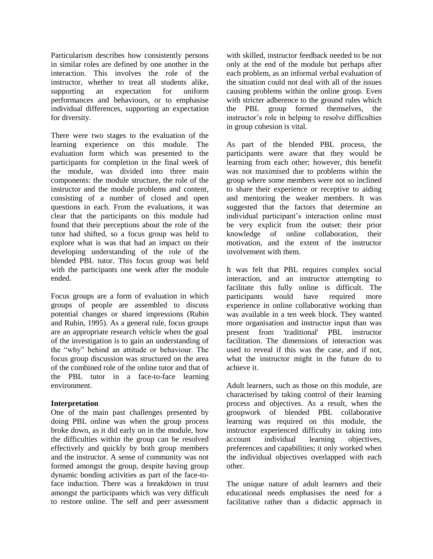Particularism describes how consistently persons in similar roles are defined by one another in the interaction. This involves the role of the instructor, whether to treat all students alike, supporting an expectation for uniform performances and behaviours, or to emphasise individual differences, supporting an expectation for diversity.

There were two stages to the evaluation of the learning experience on this module. The evaluation form which was presented to the participants for completion in the final week of the module, was divided into three main components: the module structure, the role of the instructor and the module problems and content, consisting of a number of closed and open questions in each. From the evaluations, it was clear that the participants on this module had found that their perceptions about the role of the tutor had shifted, so a focus group was held to explore what is was that had an impact on their developing understanding of the role of the blended PBL tutor. This focus group was held with the participants one week after the module ended.

Focus groups are a form of evaluation in which groups of people are assembled to discuss potential changes or shared impressions (Rubin and Rubin, 1995). As a general rule, focus groups are an appropriate research vehicle when the goal of the investigation is to gain an understanding of the "why" behind an attitude or behaviour. The focus group discussion was structured on the area of the combined role of the online tutor and that of the PBL tutor in a face-to-face learning environment.

# **Interpretation**

One of the main past challenges presented by doing PBL online was when the group process broke down, as it did early on in the module, how the difficulties within the group can be resolved effectively and quickly by both group members and the instructor. A sense of community was not formed amongst the group, despite having group dynamic bonding activities as part of the face-toface induction. There was a breakdown in trust amongst the participants which was very difficult to restore online. The self and peer assessment with skilled, instructor feedback needed to be not only at the end of the module but perhaps after each problem, as an informal verbal evaluation of the situation could not deal with all of the issues causing problems within the online group. Even with stricter adherence to the ground rules which the PBL group formed themselves, the instructor's role in helping to resolve difficulties in group cohesion is vital.

As part of the blended PBL process, the participants were aware that they would be learning from each other; however, this benefit was not maximised due to problems within the group where some members were not so inclined to share their experience or receptive to aiding and mentoring the weaker members. It was suggested that the factors that determine an individual participant's interaction online must be very explicit from the outset: their prior knowledge of online collaboration, their motivation, and the extent of the instructor involvement with them.

It was felt that PBL requires complex social interaction, and an instructor attempting to facilitate this fully online is difficult. The participants would have required more experience in online collaborative working than was available in a ten week block. They wanted more organisation and instructor input than was present from 'traditional' PBL instructor facilitation. The dimensions of interaction was used to reveal if this was the case, and if not, what the instructor might in the future do to achieve it.

Adult learners, such as those on this module, are characterised by taking control of their learning process and objectives. As a result, when the groupwork of blended PBL collaborative learning was required on this module, the instructor experienced difficulty in taking into account individual learning objectives, preferences and capabilities; it only worked when the individual objectives overlapped with each other.

The unique nature of adult learners and their educational needs emphasises the need for a facilitative rather than a didactic approach in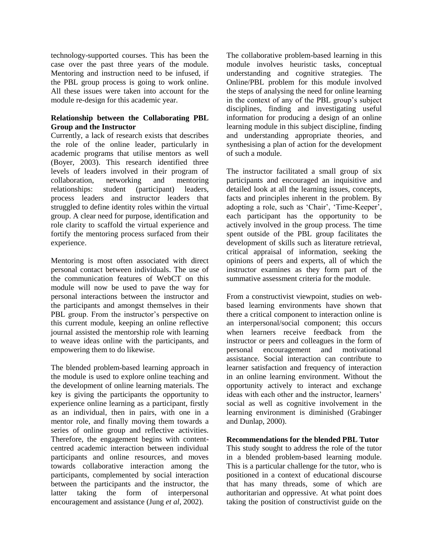technology-supported courses. This has been the case over the past three years of the module. Mentoring and instruction need to be infused, if the PBL group process is going to work online. All these issues were taken into account for the module re-design for this academic year.

# **Relationship between the Collaborating PBL Group and the Instructor**

Currently, a lack of research exists that describes the role of the online leader, particularly in academic programs that utilise mentors as well (Boyer, 2003). This research identified three levels of leaders involved in their program of collaboration, networking and mentoring relationships: student (participant) leaders, process leaders and instructor leaders that struggled to define identity roles within the virtual group. A clear need for purpose, identification and role clarity to scaffold the virtual experience and fortify the mentoring process surfaced from their experience.

Mentoring is most often associated with direct personal contact between individuals. The use of the communication features of WebCT on this module will now be used to pave the way for personal interactions between the instructor and the participants and amongst themselves in their PBL group. From the instructor's perspective on this current module, keeping an online reflective journal assisted the mentorship role with learning to weave ideas online with the participants, and empowering them to do likewise.

The blended problem-based learning approach in the module is used to explore online teaching and the development of online learning materials. The key is giving the participants the opportunity to experience online learning as a participant, firstly as an individual, then in pairs, with one in a mentor role, and finally moving them towards a series of online group and reflective activities. Therefore, the engagement begins with contentcentred academic interaction between individual participants and online resources, and moves towards collaborative interaction among the participants, complemented by social interaction between the participants and the instructor, the latter taking the form of interpersonal encouragement and assistance (Jung *et al*, 2002).

The collaborative problem-based learning in this module involves heuristic tasks, conceptual understanding and cognitive strategies. The Online/PBL problem for this module involved the steps of analysing the need for online learning in the context of any of the PBL group's subject disciplines, finding and investigating useful information for producing a design of an online learning module in this subject discipline, finding and understanding appropriate theories, and synthesising a plan of action for the development of such a module.

The instructor facilitated a small group of six participants and encouraged an inquisitive and detailed look at all the learning issues, concepts, facts and principles inherent in the problem. By adopting a role, such as 'Chair', 'Time-Keeper', each participant has the opportunity to be actively involved in the group process. The time spent outside of the PBL group facilitates the development of skills such as literature retrieval, critical appraisal of information, seeking the opinions of peers and experts, all of which the instructor examines as they form part of the summative assessment criteria for the module.

From a constructivist viewpoint, studies on webbased learning environments have shown that there a critical component to interaction online is an interpersonal/social component; this occurs when learners receive feedback from the instructor or peers and colleagues in the form of personal encouragement and motivational assistance. Social interaction can contribute to learner satisfaction and frequency of interaction in an online learning environment. Without the opportunity actively to interact and exchange ideas with each other and the instructor, learners' social as well as cognitive involvement in the learning environment is diminished (Grabinger and Dunlap, 2000).

**Recommendations for the blended PBL Tutor**

This study sought to address the role of the tutor in a blended problem-based learning module. This is a particular challenge for the tutor, who is positioned in a context of educational discourse that has many threads, some of which are authoritarian and oppressive. At what point does taking the position of constructivist guide on the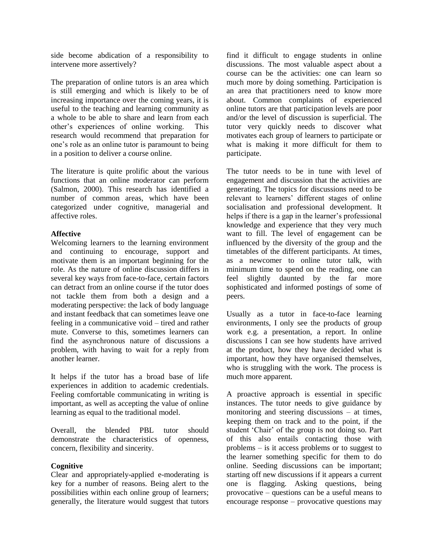side become abdication of a responsibility to intervene more assertively?

The preparation of online tutors is an area which is still emerging and which is likely to be of increasing importance over the coming years, it is useful to the teaching and learning community as a whole to be able to share and learn from each other's experiences of online working. This research would recommend that preparation for one's role as an online tutor is paramount to being in a position to deliver a course online.

The literature is quite prolific about the various functions that an online moderator can perform (Salmon, 2000). This research has identified a number of common areas, which have been categorized under cognitive, managerial and affective roles.

# **Affective**

Welcoming learners to the learning environment and continuing to encourage, support and motivate them is an important beginning for the role. As the nature of online discussion differs in several key ways from face-to-face, certain factors can detract from an online course if the tutor does not tackle them from both a design and a moderating perspective: the lack of body language and instant feedback that can sometimes leave one feeling in a communicative void – tired and rather mute. Converse to this, sometimes learners can find the asynchronous nature of discussions a problem, with having to wait for a reply from another learner.

It helps if the tutor has a broad base of life experiences in addition to academic credentials. Feeling comfortable communicating in writing is important, as well as accepting the value of online learning as equal to the traditional model.

Overall, the blended PBL tutor should demonstrate the characteristics of openness, concern, flexibility and sincerity.

# **Cognitive**

Clear and appropriately-applied e-moderating is key for a number of reasons. Being alert to the possibilities within each online group of learners; generally, the literature would suggest that tutors find it difficult to engage students in online discussions. The most valuable aspect about a course can be the activities: one can learn so much more by doing something. Participation is an area that practitioners need to know more about. Common complaints of experienced online tutors are that participation levels are poor and/or the level of discussion is superficial. The tutor very quickly needs to discover what motivates each group of learners to participate or what is making it more difficult for them to participate.

The tutor needs to be in tune with level of engagement and discussion that the activities are generating. The topics for discussions need to be relevant to learners' different stages of online socialisation and professional development. It helps if there is a gap in the learner's professional knowledge and experience that they very much want to fill. The level of engagement can be influenced by the diversity of the group and the timetables of the different participants. At times, as a newcomer to online tutor talk, with minimum time to spend on the reading, one can feel slightly daunted by the far more sophisticated and informed postings of some of peers.

Usually as a tutor in face-to-face learning environments, I only see the products of group work e.g. a presentation, a report. In online discussions I can see how students have arrived at the product, how they have decided what is important, how they have organised themselves, who is struggling with the work. The process is much more apparent.

A proactive approach is essential in specific instances. The tutor needs to give guidance by monitoring and steering discussions – at times, keeping them on track and to the point, if the student 'Chair' of the group is not doing so. Part of this also entails contacting those with problems – is it access problems or to suggest to the learner something specific for them to do online. Seeding discussions can be important; starting off new discussions if it appears a current one is flagging. Asking questions, being provocative – questions can be a useful means to encourage response – provocative questions may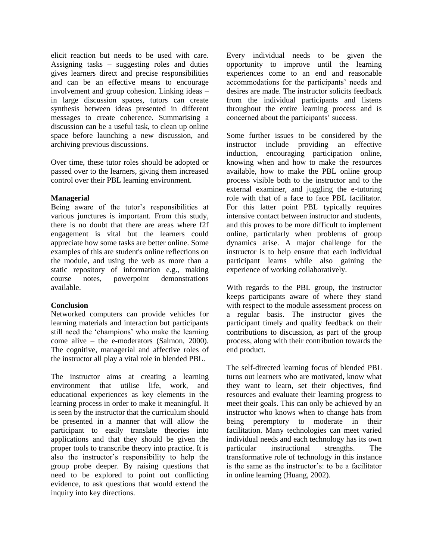elicit reaction but needs to be used with care. Assigning tasks – suggesting roles and duties gives learners direct and precise responsibilities and can be an effective means to encourage involvement and group cohesion. Linking ideas – in large discussion spaces, tutors can create synthesis between ideas presented in different messages to create coherence. Summarising a discussion can be a useful task, to clean up online space before launching a new discussion, and archiving previous discussions.

Over time, these tutor roles should be adopted or passed over to the learners, giving them increased control over their PBL learning environment.

# **Managerial**

Being aware of the tutor's responsibilities at various junctures is important. From this study, there is no doubt that there are areas where f2f engagement is vital but the learners could appreciate how some tasks are better online. Some examples of this are student's online reflections on the module, and using the web as more than a static repository of information e.g., making course notes, powerpoint demonstrations available.

# **Conclusion**

Networked computers can provide vehicles for learning materials and interaction but participants still need the 'champions' who make the learning come alive – the e-moderators (Salmon, 2000). The cognitive, managerial and affective roles of the instructor all play a vital role in blended PBL.

The instructor aims at creating a learning environment that utilise life, work, and educational experiences as key elements in the learning process in order to make it meaningful. It is seen by the instructor that the curriculum should be presented in a manner that will allow the participant to easily translate theories into applications and that they should be given the proper tools to transcribe theory into practice. It is also the instructor's responsibility to help the group probe deeper. By raising questions that need to be explored to point out conflicting evidence, to ask questions that would extend the inquiry into key directions.

Every individual needs to be given the opportunity to improve until the learning experiences come to an end and reasonable accommodations for the participants' needs and desires are made. The instructor solicits feedback from the individual participants and listens throughout the entire learning process and is concerned about the participants' success.

Some further issues to be considered by the instructor include providing an effective induction, encouraging participation online, knowing when and how to make the resources available, how to make the PBL online group process visible both to the instructor and to the external examiner, and juggling the e-tutoring role with that of a face to face PBL facilitator. For this latter point PBL typically requires intensive contact between instructor and students, and this proves to be more difficult to implement online, particularly when problems of group dynamics arise. A major challenge for the instructor is to help ensure that each individual participant learns while also gaining the experience of working collaboratively.

With regards to the PBL group, the instructor keeps participants aware of where they stand with respect to the module assessment process on a regular basis. The instructor gives the participant timely and quality feedback on their contributions to discussion, as part of the group process, along with their contribution towards the end product.

The self-directed learning focus of blended PBL turns out learners who are motivated, know what they want to learn, set their objectives, find resources and evaluate their learning progress to meet their goals. This can only be achieved by an instructor who knows when to change hats from being peremptory to moderate in their facilitation. Many technologies can meet varied individual needs and each technology has its own particular instructional strengths. The transformative role of technology in this instance is the same as the instructor's: to be a facilitator in online learning (Huang, 2002).